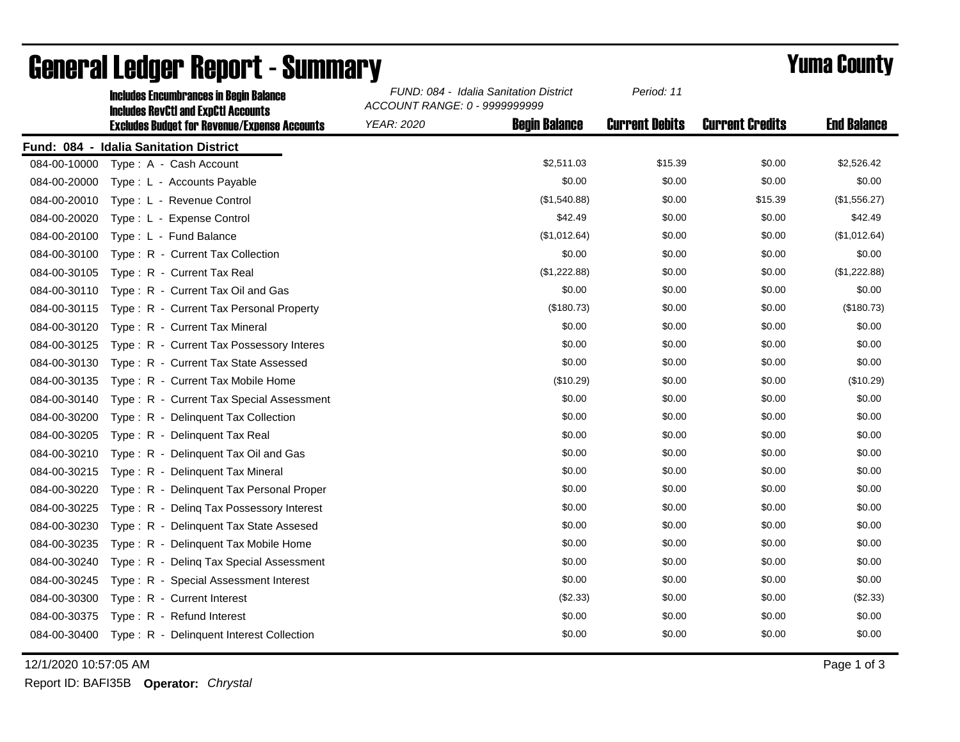|              | <b>Includes Encumbrances in Begin Balance</b><br><b>Includes RevCtI and ExpCtI Accounts</b> | FUND: 084 - Idalia Sanitation District<br>ACCOUNT RANGE: 0 - 9999999999 |                      | Period: 11            |                        |                    |
|--------------|---------------------------------------------------------------------------------------------|-------------------------------------------------------------------------|----------------------|-----------------------|------------------------|--------------------|
|              | <b>Excludes Budget for Revenue/Expense Accounts</b>                                         | <b>YEAR: 2020</b>                                                       | <b>Begin Balance</b> | <b>Current Debits</b> | <b>Current Credits</b> | <b>End Balance</b> |
|              | Fund: 084 - Idalia Sanitation District                                                      |                                                                         |                      |                       |                        |                    |
| 084-00-10000 | Type: A - Cash Account                                                                      |                                                                         | \$2,511.03           | \$15.39               | \$0.00                 | \$2,526.42         |
| 084-00-20000 | Type: L - Accounts Payable                                                                  |                                                                         | \$0.00               | \$0.00                | \$0.00                 | \$0.00             |
| 084-00-20010 | Type: L - Revenue Control                                                                   |                                                                         | (\$1,540.88)         | \$0.00                | \$15.39                | (\$1,556.27)       |
| 084-00-20020 | Type: L - Expense Control                                                                   |                                                                         | \$42.49              | \$0.00                | \$0.00                 | \$42.49            |
| 084-00-20100 | Type: L - Fund Balance                                                                      |                                                                         | (\$1,012.64)         | \$0.00                | \$0.00                 | (\$1,012.64)       |
| 084-00-30100 | Type: R - Current Tax Collection                                                            |                                                                         | \$0.00               | \$0.00                | \$0.00                 | \$0.00             |
| 084-00-30105 | Type: R - Current Tax Real                                                                  |                                                                         | (\$1,222.88)         | \$0.00                | \$0.00                 | (\$1,222.88)       |
| 084-00-30110 | Type: R - Current Tax Oil and Gas                                                           |                                                                         | \$0.00               | \$0.00                | \$0.00                 | \$0.00             |
| 084-00-30115 | Type: R - Current Tax Personal Property                                                     |                                                                         | (\$180.73)           | \$0.00                | \$0.00                 | (\$180.73)         |
| 084-00-30120 | Type: R - Current Tax Mineral                                                               |                                                                         | \$0.00               | \$0.00                | \$0.00                 | \$0.00             |
| 084-00-30125 | Type: R - Current Tax Possessory Interes                                                    |                                                                         | \$0.00               | \$0.00                | \$0.00                 | \$0.00             |
| 084-00-30130 | Type: R - Current Tax State Assessed                                                        |                                                                         | \$0.00               | \$0.00                | \$0.00                 | \$0.00             |
| 084-00-30135 | Type: R - Current Tax Mobile Home                                                           |                                                                         | (\$10.29)            | \$0.00                | \$0.00                 | (\$10.29)          |
| 084-00-30140 | Type: R - Current Tax Special Assessment                                                    |                                                                         | \$0.00               | \$0.00                | \$0.00                 | \$0.00             |
| 084-00-30200 | Type: R - Delinquent Tax Collection                                                         |                                                                         | \$0.00               | \$0.00                | \$0.00                 | \$0.00             |
| 084-00-30205 | Type: R - Delinquent Tax Real                                                               |                                                                         | \$0.00               | \$0.00                | \$0.00                 | \$0.00             |
| 084-00-30210 | Type: R - Delinquent Tax Oil and Gas                                                        |                                                                         | \$0.00               | \$0.00                | \$0.00                 | \$0.00             |
| 084-00-30215 | Type: R - Delinquent Tax Mineral                                                            |                                                                         | \$0.00               | \$0.00                | \$0.00                 | \$0.00             |
| 084-00-30220 | Type: R - Delinquent Tax Personal Proper                                                    |                                                                         | \$0.00               | \$0.00                | \$0.00                 | \$0.00             |
| 084-00-30225 | Type: R - Deling Tax Possessory Interest                                                    |                                                                         | \$0.00               | \$0.00                | \$0.00                 | \$0.00             |
| 084-00-30230 | Type: R - Delinguent Tax State Assesed                                                      |                                                                         | \$0.00               | \$0.00                | \$0.00                 | \$0.00             |
| 084-00-30235 | Type: R - Delinquent Tax Mobile Home                                                        |                                                                         | \$0.00               | \$0.00                | \$0.00                 | \$0.00             |
| 084-00-30240 | Type: R - Deling Tax Special Assessment                                                     |                                                                         | \$0.00               | \$0.00                | \$0.00                 | \$0.00             |
| 084-00-30245 | Type: R - Special Assessment Interest                                                       |                                                                         | \$0.00               | \$0.00                | \$0.00                 | \$0.00             |
| 084-00-30300 | Type: R - Current Interest                                                                  |                                                                         | (\$2.33)             | \$0.00                | \$0.00                 | (\$2.33)           |
| 084-00-30375 | Type: R - Refund Interest                                                                   |                                                                         | \$0.00               | \$0.00                | \$0.00                 | \$0.00             |
|              | 084-00-30400 Type: R - Delinquent Interest Collection                                       |                                                                         | \$0.00               | \$0.00                | \$0.00                 | \$0.00             |

## General Ledger Report - Summary **Example 2018** Yuma County

12/1/2020 10:57:05 AM Page 1 of 3

Report ID: BAFI35B **Operator:** *Chrystal*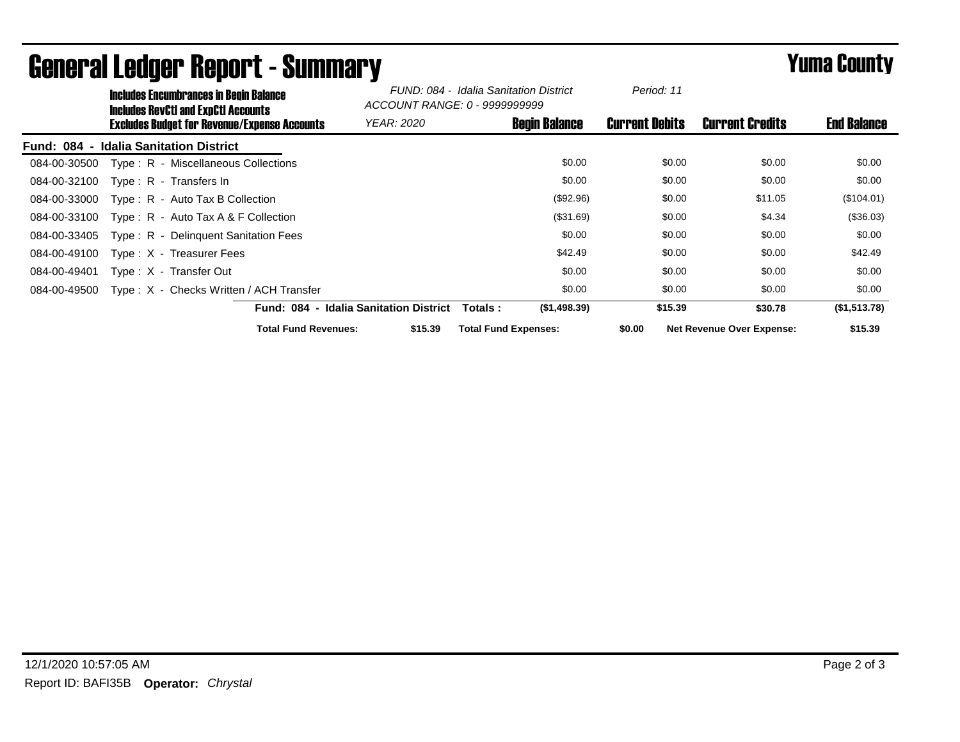|              | <b>Includes Encumbrances in Begin Balance</b><br><b>Includes RevCtI and ExpCtI Accounts</b> |                                                     |                                               | FUND: 084 - Idalia Sanitation District<br>ACCOUNT RANGE: 0 - 99999999999 |                      | Period: 11            |                                  |                    |
|--------------|---------------------------------------------------------------------------------------------|-----------------------------------------------------|-----------------------------------------------|--------------------------------------------------------------------------|----------------------|-----------------------|----------------------------------|--------------------|
|              |                                                                                             | <b>Excludes Budget for Revenue/Expense Accounts</b> | <b>YEAR: 2020</b>                             |                                                                          | <b>Begin Balance</b> | <b>Current Debits</b> | <b>Current Credits</b>           | <b>End Balance</b> |
| Fund: 084 -  | <b>Idalia Sanitation District</b>                                                           |                                                     |                                               |                                                                          |                      |                       |                                  |                    |
| 084-00-30500 | Type: R - Miscellaneous Collections                                                         |                                                     |                                               |                                                                          | \$0.00               | \$0.00                | \$0.00                           | \$0.00             |
| 084-00-32100 | Type: $R -$ Transfers In                                                                    |                                                     |                                               |                                                                          | \$0.00               | \$0.00                | \$0.00                           | \$0.00             |
| 084-00-33000 | Type: R - Auto Tax B Collection                                                             |                                                     |                                               |                                                                          | (\$92.96)            | \$0.00                | \$11.05                          | (\$104.01)         |
| 084-00-33100 | Type: $R -$ Auto Tax A & F Collection                                                       |                                                     |                                               |                                                                          | (\$31.69)            | \$0.00                | \$4.34                           | (\$36.03)          |
| 084-00-33405 | Type: R - Delinguent Sanitation Fees                                                        |                                                     |                                               |                                                                          | \$0.00               | \$0.00                | \$0.00                           | \$0.00             |
| 084-00-49100 | Type: X - Treasurer Fees                                                                    |                                                     |                                               |                                                                          | \$42.49              | \$0.00                | \$0.00                           | \$42.49            |
| 084-00-49401 | Type: X - Transfer Out                                                                      |                                                     |                                               |                                                                          | \$0.00               | \$0.00                | \$0.00                           | \$0.00             |
| 084-00-49500 |                                                                                             | Type: X - Checks Written / ACH Transfer             |                                               |                                                                          | \$0.00               | \$0.00                | \$0.00                           | \$0.00             |
|              |                                                                                             |                                                     | <b>Fund: 084 - Idalia Sanitation District</b> | Totals :                                                                 | (\$1,498.39)         | \$15.39               | \$30.78                          | (\$1,513.78)       |
|              |                                                                                             | <b>Total Fund Revenues:</b>                         | \$15.39                                       | <b>Total Fund Expenses:</b>                                              |                      | \$0.00                | <b>Net Revenue Over Expense:</b> | \$15.39            |

## General Ledger Report - Summary **Example 2018** Yuma County